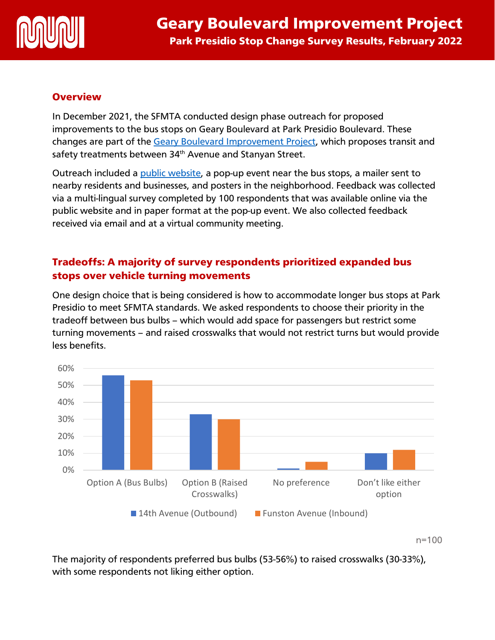

### **Overview**

In December 2021, the SFMTA conducted design phase outreach for proposed improvements to the bus stops on Geary Boulevard at Park Presidio Boulevard. These changes are part of the [Geary Boulevard Improvement Project,](https://www.sfmta.com/projects/geary-boulevard-improvement-project) which proposes transit and safety treatments between 34<sup>th</sup> Avenue and Stanyan Street.

Outreach included a [public website,](https://www.sfmta.com/projects/proposed-transit-improvements-geary-park-presidio) a pop-up event near the bus stops, a mailer sent to nearby residents and businesses, and posters in the neighborhood. Feedback was collected via a multi-lingual survey completed by 100 respondents that was available online via the public website and in paper format at the pop-up event. We also collected feedback received via email and at a virtual community meeting.

# Tradeoffs: A majority of survey respondents prioritized expanded bus stops over vehicle turning movements

One design choice that is being considered is how to accommodate longer bus stops at Park Presidio to meet SFMTA standards. We asked respondents to choose their priority in the tradeoff between bus bulbs – which would add space for passengers but restrict some turning movements – and raised crosswalks that would not restrict turns but would provide less benefits.



n=100

The majority of respondents preferred bus bulbs (53-56%) to raised crosswalks (30-33%), with some respondents not liking either option.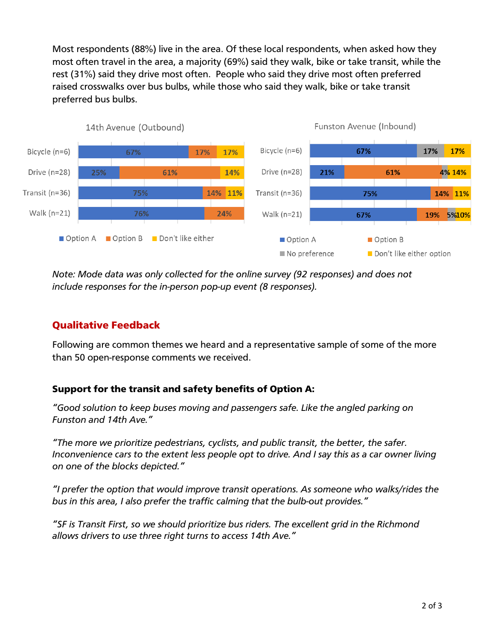Most respondents (88%) live in the area. Of these local respondents, when asked how they most often travel in the area, a majority (69%) said they walk, bike or take transit, while the rest (31%) said they drive most often. People who said they drive most often preferred raised crosswalks over bus bulbs, while those who said they walk, bike or take transit preferred bus bulbs.



*Note: Mode data was only collected for the online survey (92 responses) and does not include responses for the in-person pop-up event (8 responses).* 

# Qualitative Feedback

Following are common themes we heard and a representative sample of some of the more than 50 open-response comments we received.

## Support for the transit and safety benefits of Option A:

*"Good solution to keep buses moving and passengers safe. Like the angled parking on Funston and 14th Ave."*

*"The more we prioritize pedestrians, cyclists, and public transit, the better, the safer. Inconvenience cars to the extent less people opt to drive. And I say this as a car owner living on one of the blocks depicted."*

*"I prefer the option that would improve transit operations. As someone who walks/rides the bus in this area, I also prefer the traffic calming that the bulb-out provides."*

*"SF is Transit First, so we should prioritize bus riders. The excellent grid in the Richmond allows drivers to use three right turns to access 14th Ave."*